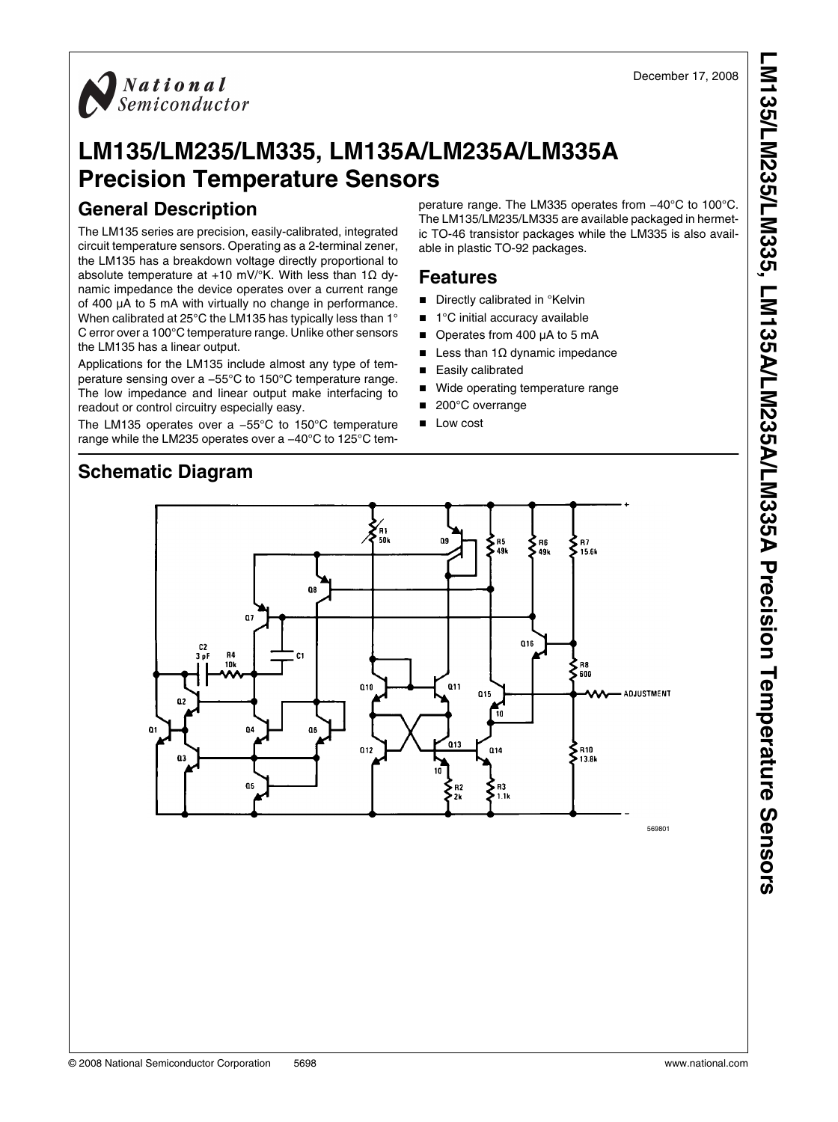

# **LM135/LM235/LM335, LM135A/LM235A/LM335A Precision Temperature Sensors**

## **General Description**

The LM135 series are precision, easily-calibrated, integrated circuit temperature sensors. Operating as a 2-terminal zener, the LM135 has a breakdown voltage directly proportional to absolute temperature at +10 mV/ $\degree$ K. With less than 1 $\Omega$  dynamic impedance the device operates over a current range of 400 μA to 5 mA with virtually no change in performance. When calibrated at 25°C the LM135 has typically less than 1° C error over a 100°C temperature range. Unlike other sensors the LM135 has a linear output.

Applications for the LM135 include almost any type of temperature sensing over a −55°C to 150°C temperature range. The low impedance and linear output make interfacing to readout or control circuitry especially easy.

The LM135 operates over a −55°C to 150°C temperature range while the LM235 operates over a −40°C to 125°C temperature range. The LM335 operates from −40°C to 100°C. The LM135/LM235/LM335 are available packaged in hermetic TO-46 transistor packages while the LM335 is also available in plastic TO-92 packages.

### **Features**

- Directly calibrated in °Kelvin
- 1°C initial accuracy available
- Operates from 400 μA to 5 mA
- Less than  $1\Omega$  dynamic impedance
- Easily calibrated
- Wide operating temperature range
- 200°C overrange
- Low cost

## **Schematic Diagram**



569801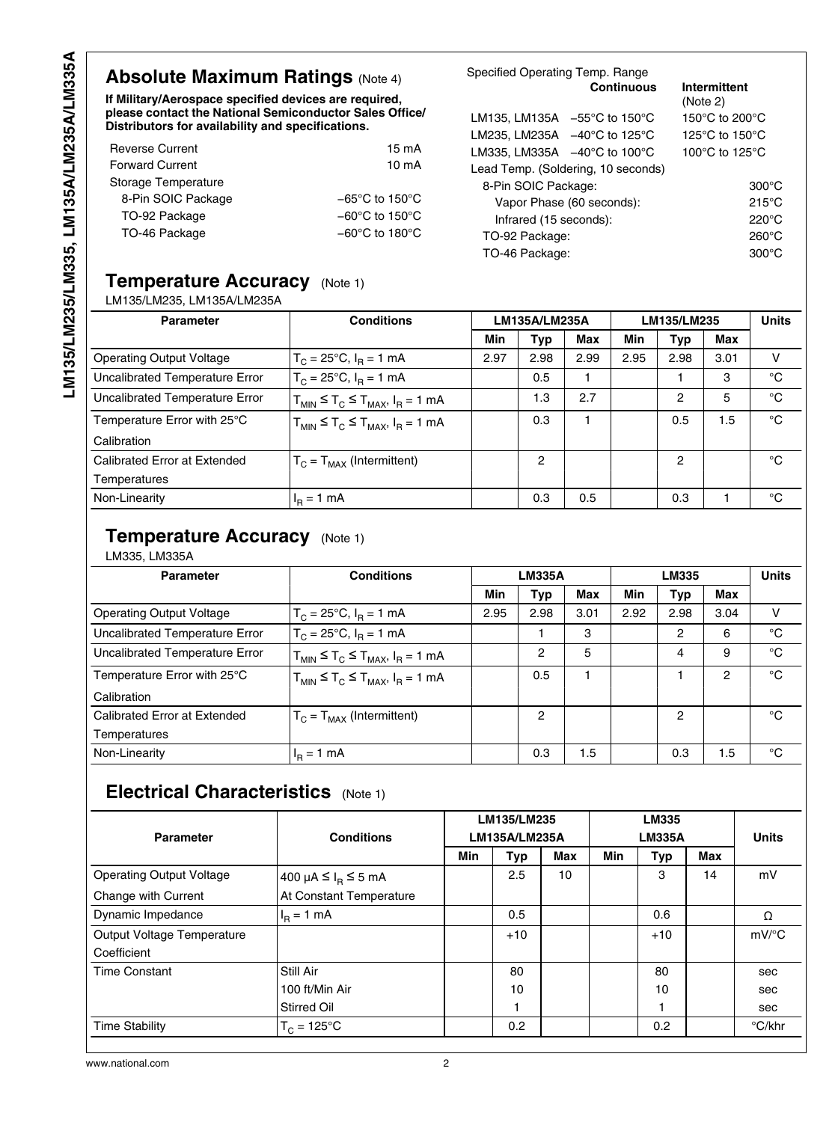## **Absolute Maximum Ratings (Note [4](#page-2-0))**

**If Military/Aerospace specified devices are required, please contact the National Semiconductor Sales Office/ Distributors for availability and specifications.**

| <b>Reverse Current</b> | 15 mA                               |
|------------------------|-------------------------------------|
| <b>Forward Current</b> | $10 \text{ mA}$                     |
| Storage Temperature    |                                     |
| 8-Pin SOIC Package     | $-65^{\circ}$ C to 150 $^{\circ}$ C |
| TO-92 Package          | $-60^{\circ}$ C to 150 $^{\circ}$ C |
| TO-46 Package          | $-60^{\circ}$ C to 180 $^{\circ}$ C |
|                        |                                     |

| Specified Operating Temp. Range                   |                   |                                    |  |  |  |  |
|---------------------------------------------------|-------------------|------------------------------------|--|--|--|--|
|                                                   | <b>Continuous</b> | Intermittent<br>(Note 2)           |  |  |  |  |
| LM135, LM135A $-55^{\circ}$ C to 150 $^{\circ}$ C |                   | 150 $\degree$ C to 200 $\degree$ C |  |  |  |  |
| LM235, LM235A $-40^{\circ}$ C to 125 $^{\circ}$ C |                   | 125 $\degree$ C to 150 $\degree$ C |  |  |  |  |
| LM335, LM335A $-40^{\circ}$ C to 100°C            |                   | 100°C to 125°C                     |  |  |  |  |
| Lead Temp. (Soldering, 10 seconds)                |                   |                                    |  |  |  |  |
| 8-Pin SOIC Package:                               |                   | $300^{\circ}$ C                    |  |  |  |  |
| Vapor Phase (60 seconds):                         |                   | $215^{\circ}$ C                    |  |  |  |  |
| Infrared (15 seconds):                            |                   | 220°C                              |  |  |  |  |
| TO-92 Package:                                    |                   | $260^{\circ}$ C                    |  |  |  |  |
| TO-46 Package:                                    |                   |                                    |  |  |  |  |
|                                                   |                   |                                    |  |  |  |  |

### **Temperature Accuracy** (Note [1](#page-2-0))

#### LM135/LM235, LM135A/LM235A

| <b>Parameter</b>                | <b>Conditions</b>                              | LM135A/LM235A |            | LM135/LM235 |      |      | <b>Units</b> |             |
|---------------------------------|------------------------------------------------|---------------|------------|-------------|------|------|--------------|-------------|
|                                 |                                                | Min           | <b>Typ</b> | Max         | Min  | Typ  | Max          |             |
| <b>Operating Output Voltage</b> | $T_C = 25^{\circ}C$ , $I_R = 1$ mA             | 2.97          | 2.98       | 2.99        | 2.95 | 2.98 | 3.01         | v           |
| Uncalibrated Temperature Error  | $T_c = 25^{\circ}C$ , $I_R = 1$ mA             |               | 0.5        |             |      |      | 3            | °C          |
| Uncalibrated Temperature Error  | $T_{MIN} \leq T_C \leq T_{MAX}$ , $I_R = 1$ mA |               | 1.3        | 2.7         |      | 2    | 5            | $^{\circ}C$ |
| Temperature Error with 25°C     | $T_{MIN} \leq T_C \leq T_{MAX}$ , $I_R = 1$ mA |               | 0.3        |             |      | 0.5  | 1.5          | $^{\circ}C$ |
| Calibration                     |                                                |               |            |             |      |      |              |             |
| Calibrated Error at Extended    | $T_C = T_{MAX}$ (Intermittent)                 |               | 2          |             |      | 2    |              | °C          |
| Temperatures                    |                                                |               |            |             |      |      |              |             |
| Non-Linearity                   | $H_R = 1$ mA                                   |               | 0.3        | 0.5         |      | 0.3  |              | °C          |

### **Temperature Accuracy** (Note [1](#page-2-0))

#### LM335, LM335A

| <b>Parameter</b>                | <b>Conditions</b>                              | <b>LM335A</b> |            | LM335 |      |               | <b>Units</b>   |              |
|---------------------------------|------------------------------------------------|---------------|------------|-------|------|---------------|----------------|--------------|
|                                 |                                                | Min           | <b>Typ</b> | Max   | Min  | Typ           | <b>Max</b>     |              |
| <b>Operating Output Voltage</b> | $T_C = 25^{\circ}C$ , $I_R = 1$ mA             | 2.95          | 2.98       | 3.01  | 2.92 | 2.98          | 3.04           | v            |
| Uncalibrated Temperature Error  | $T_c = 25^{\circ}C$ , $I_R = 1$ mA             |               |            | 3     |      | 2             | 6              | $^{\circ}$ C |
| Uncalibrated Temperature Error  | $T_{MIN} \leq T_C \leq T_{MAX}$ , $I_R = 1$ mA |               | 2          | 5     |      | 4             | 9              | $^{\circ}C$  |
| Temperature Error with 25°C     | $T_{MIN} \leq T_C \leq T_{MAX}$ , $I_R = 1$ mA |               | 0.5        |       |      |               | $\overline{2}$ | $^{\circ}$ C |
| Calibration                     |                                                |               |            |       |      |               |                |              |
| Calibrated Error at Extended    | $T_c = T_{MAX}$ (Intermittent)                 |               | 2          |       |      | $\mathcal{P}$ |                | °€           |
| Temperatures                    |                                                |               |            |       |      |               |                |              |
| Non-Linearity                   | $I_{\rm p} = 1$ mA                             |               | 0.3        | 1.5   |      | 0.3           | 1.5            | °€           |

## **Electrical Characteristics** (Note [1\)](#page-2-0)

| <b>Parameter</b>                | <b>Conditions</b>                        | LM135/LM235<br>LM135A/LM235A |       | <b>LM335</b><br><b>LM335A</b> |     | <b>Units</b> |            |                     |
|---------------------------------|------------------------------------------|------------------------------|-------|-------------------------------|-----|--------------|------------|---------------------|
|                                 |                                          | <b>Min</b>                   | Typ   | <b>Max</b>                    | Min | Typ          | <b>Max</b> |                     |
| <b>Operating Output Voltage</b> | 400 µA $\leq$ I <sub>R</sub> $\leq$ 5 mA |                              | 2.5   | 10                            |     | 3            | 14         | mV                  |
| Change with Current             | At Constant Temperature                  |                              |       |                               |     |              |            |                     |
| Dynamic Impedance               | $IB = 1 mA$                              |                              | 0.5   |                               |     | 0.6          |            | Ω                   |
| Output Voltage Temperature      |                                          |                              | $+10$ |                               |     | $+10$        |            | $mV$ <sup>o</sup> C |
| Coefficient                     |                                          |                              |       |                               |     |              |            |                     |
| <b>Time Constant</b>            | Still Air                                |                              | 80    |                               |     | 80           |            | sec                 |
|                                 | 100 ft/Min Air                           |                              | 10    |                               |     | 10           |            | sec                 |
|                                 | Stirred Oil                              |                              |       |                               |     |              |            | sec                 |
| <b>Time Stability</b>           | $T_c = 125^{\circ}C$                     |                              | 0.2   |                               |     | 0.2          |            | °C/khr              |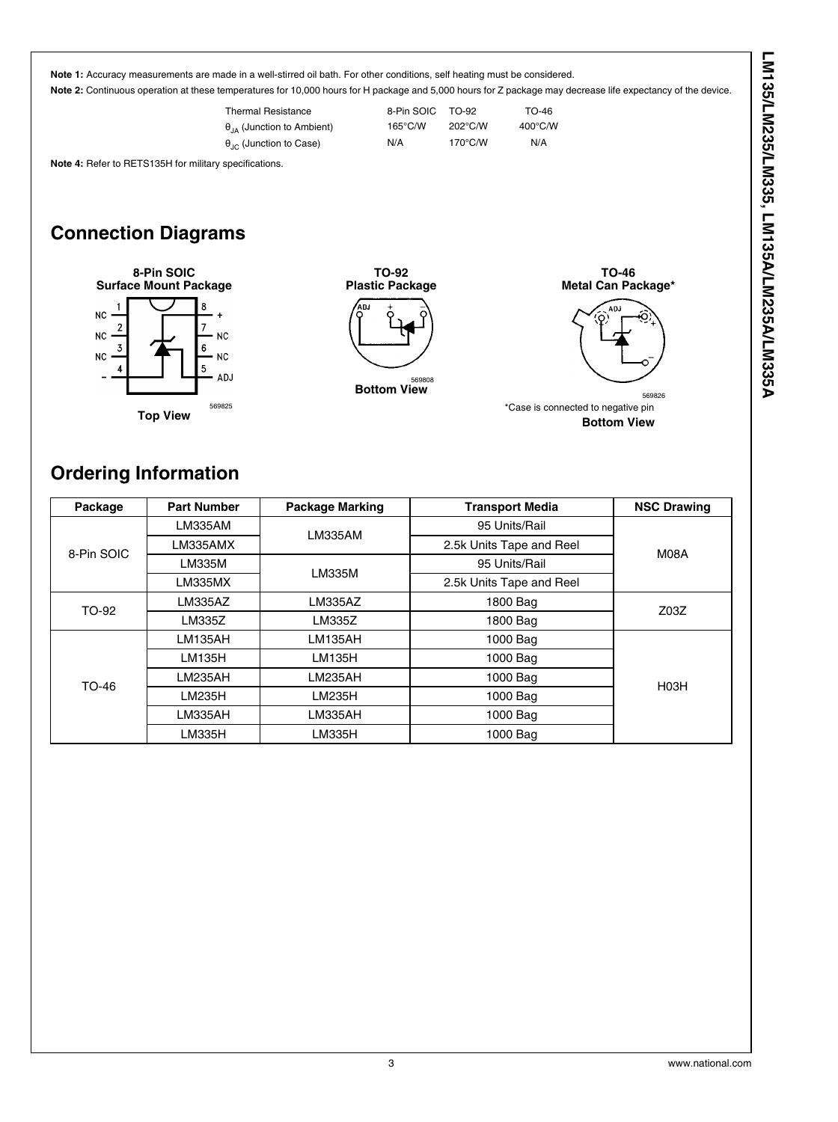<span id="page-2-0"></span>

## **Ordering Information**

| Package    | <b>Part Number</b> | <b>Package Marking</b> | <b>Transport Media</b>   | <b>NSC Drawing</b> |  |
|------------|--------------------|------------------------|--------------------------|--------------------|--|
|            | LM335AM            | LM335AM                | 95 Units/Rail            |                    |  |
| 8-Pin SOIC | LM335AMX           |                        | 2.5k Units Tape and Reel | M08A               |  |
|            | LM335M             | LM335M                 | 95 Units/Rail            |                    |  |
|            | LM335MX            |                        | 2.5k Units Tape and Reel |                    |  |
| TO-92      | <b>LM335AZ</b>     | LM335AZ                | 1800 Bag                 | Z <sub>03Z</sub>   |  |
|            | LM335Z             | LM335Z                 | 1800 Bag                 |                    |  |
|            | LM135AH            | LM135AH                | 1000 Bag                 |                    |  |
|            | LM135H             | LM135H                 | 1000 Bag                 |                    |  |
| TO-46      | LM235AH            | LM235AH                | 1000 Bag                 | H <sub>03</sub> H  |  |
|            | LM235H             | LM235H                 | 1000 Bag                 |                    |  |
|            | LM335AH            | LM335AH                | 1000 Bag                 |                    |  |
|            | LM335H             | LM335H                 | 1000 Bag                 |                    |  |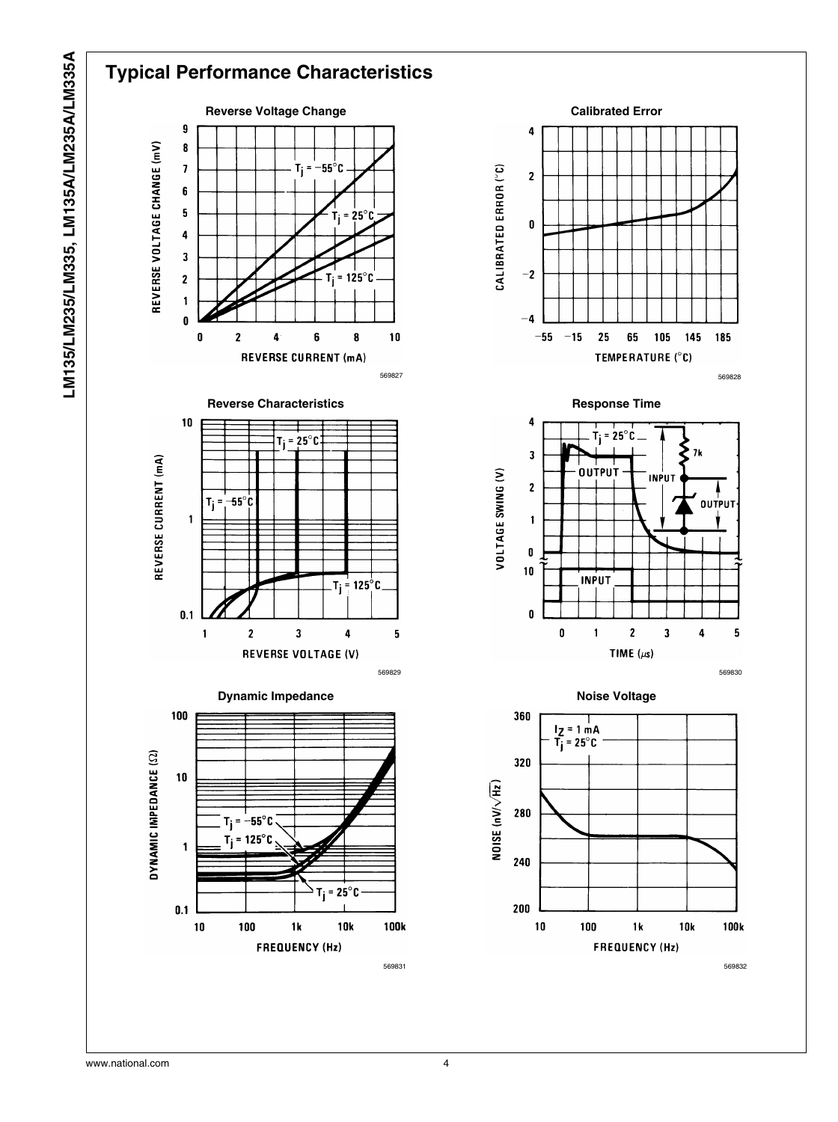



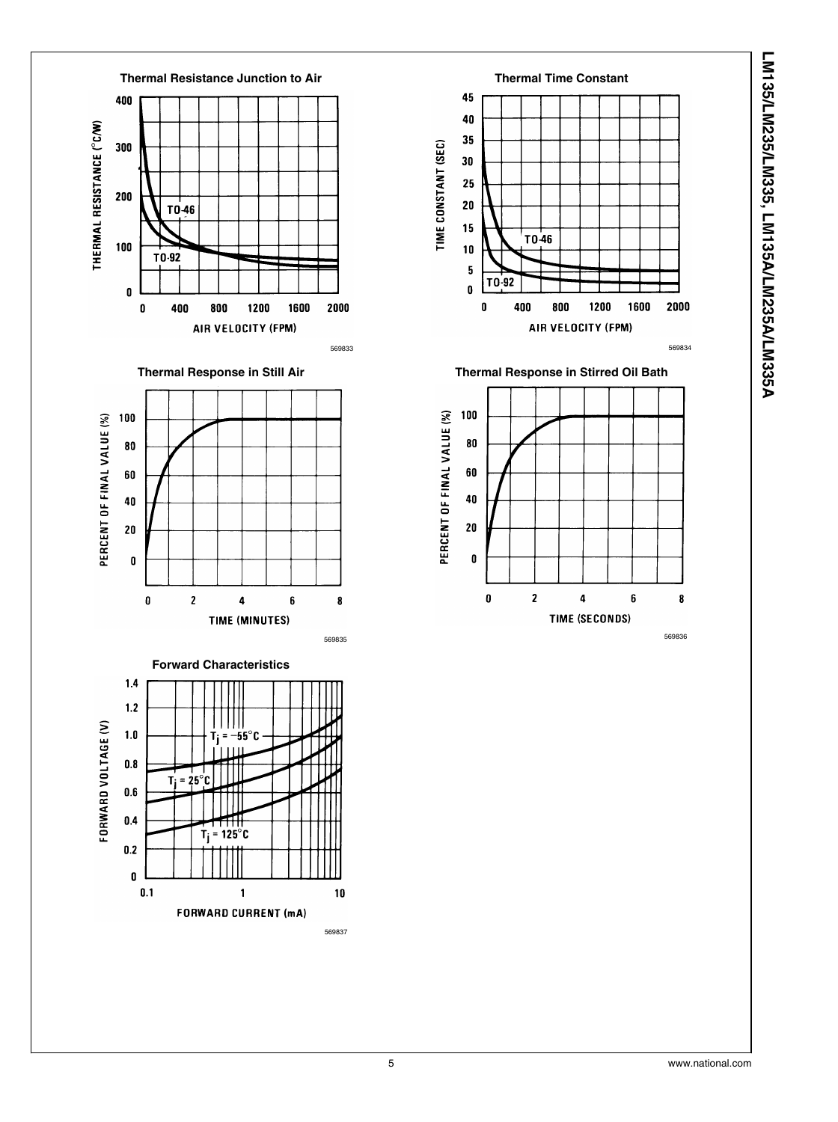



LM135/LM235/LM335, LM135A/LM235A/LM335A **LM135/LM235/LM335, LM135A/LM235A/LM335A**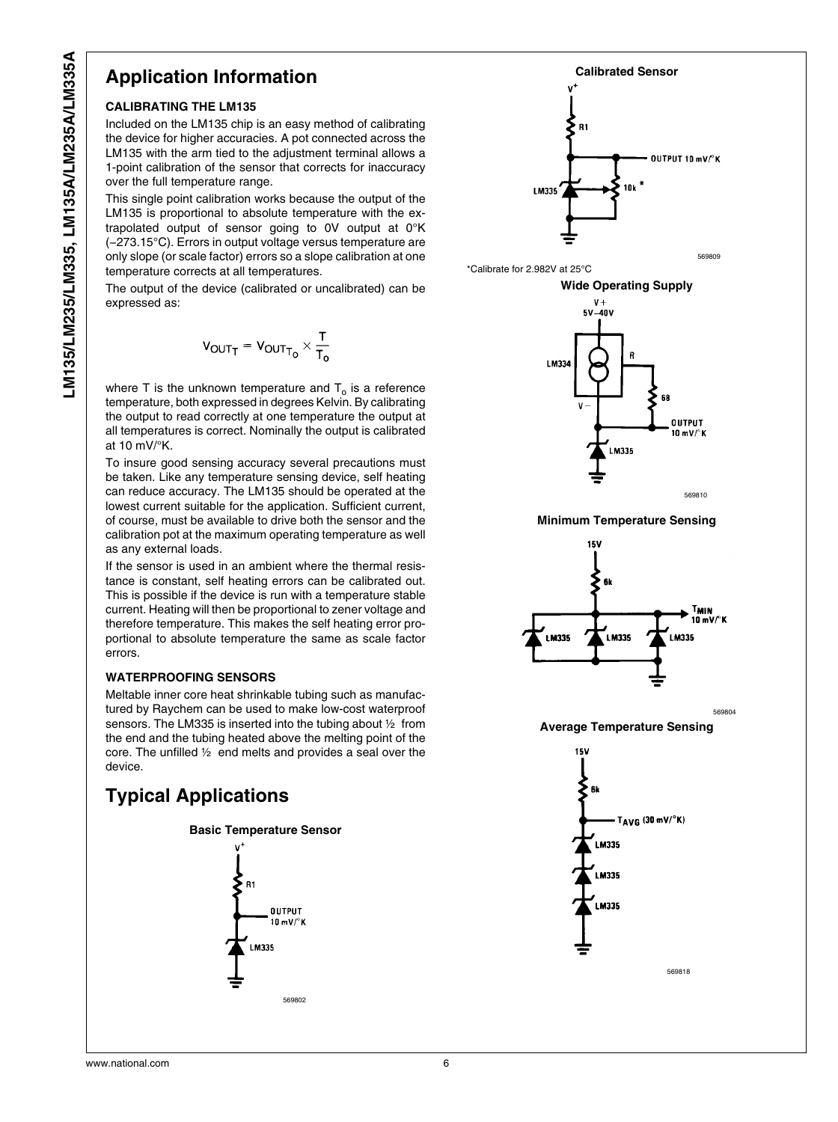## **Application Information**

#### **CALIBRATING THE LM135**

Included on the LM135 chip is an easy method of calibrating the device for higher accuracies. A pot connected across the LM135 with the arm tied to the adjustment terminal allows a 1-point calibration of the sensor that corrects for inaccuracy over the full temperature range.

This single point calibration works because the output of the LM135 is proportional to absolute temperature with the extrapolated output of sensor going to 0V output at 0°K (−273.15°C). Errors in output voltage versus temperature are only slope (or scale factor) errors so a slope calibration at one temperature corrects at all temperatures.

The output of the device (calibrated or uncalibrated) can be expressed as:

$$
V_{OUTT} = V_{OUTT_0} \times \frac{T}{T_0}
$$

where T is the unknown temperature and  ${\mathsf T}_{\textsf{o}}$  is a reference temperature, both expressed in degrees Kelvin. By calibrating the output to read correctly at one temperature the output at all temperatures is correct. Nominally the output is calibrated at 10 mV/°K.

To insure good sensing accuracy several precautions must be taken. Like any temperature sensing device, self heating can reduce accuracy. The LM135 should be operated at the lowest current suitable for the application. Sufficient current, of course, must be available to drive both the sensor and the calibration pot at the maximum operating temperature as well as any external loads.

If the sensor is used in an ambient where the thermal resistance is constant, self heating errors can be calibrated out. This is possible if the device is run with a temperature stable current. Heating will then be proportional to zener voltage and therefore temperature. This makes the self heating error proportional to absolute temperature the same as scale factor errors.

#### **WATERPROOFING SENSORS**

Meltable inner core heat shrinkable tubing such as manufactured by Raychem can be used to make low-cost waterproof sensors. The LM335 is inserted into the tubing about  $\frac{1}{2}$  from the end and the tubing heated above the melting point of the core. The unfilled  $\frac{1}{2}$  end melts and provides a seal over the device.

## **Typical Applications**





**Average Temperature Sensing**

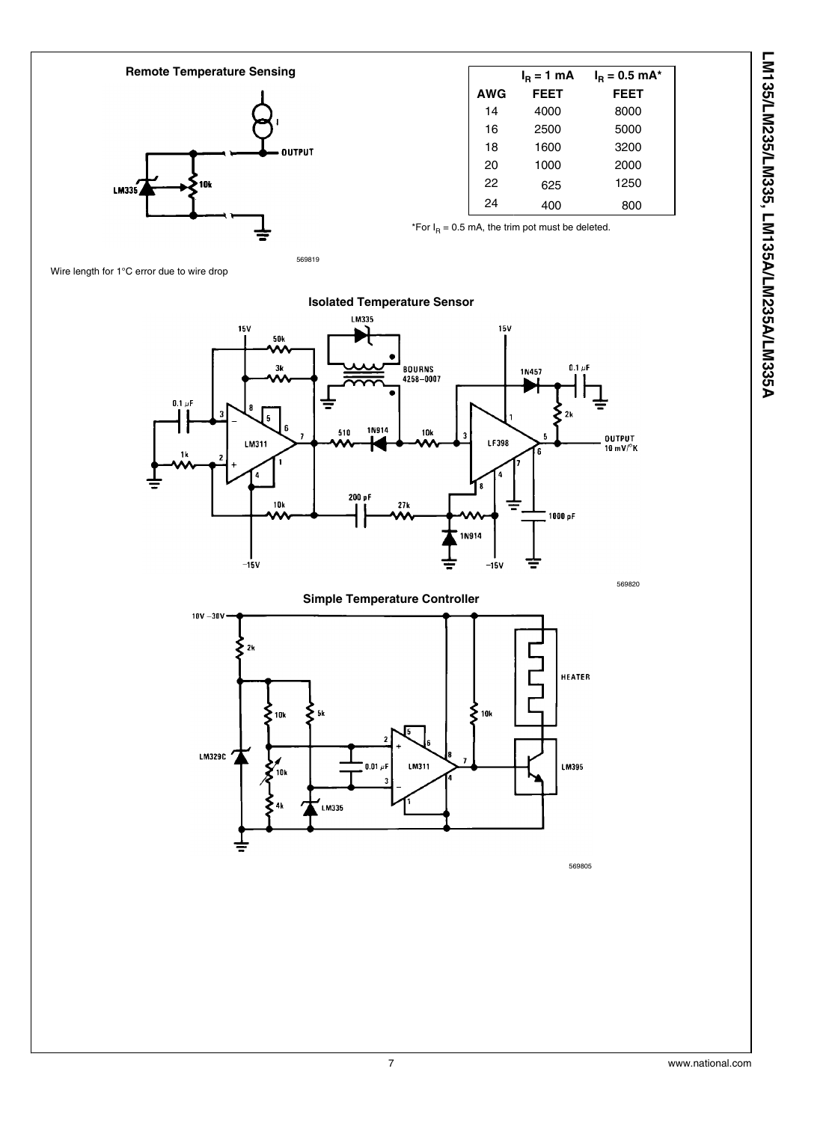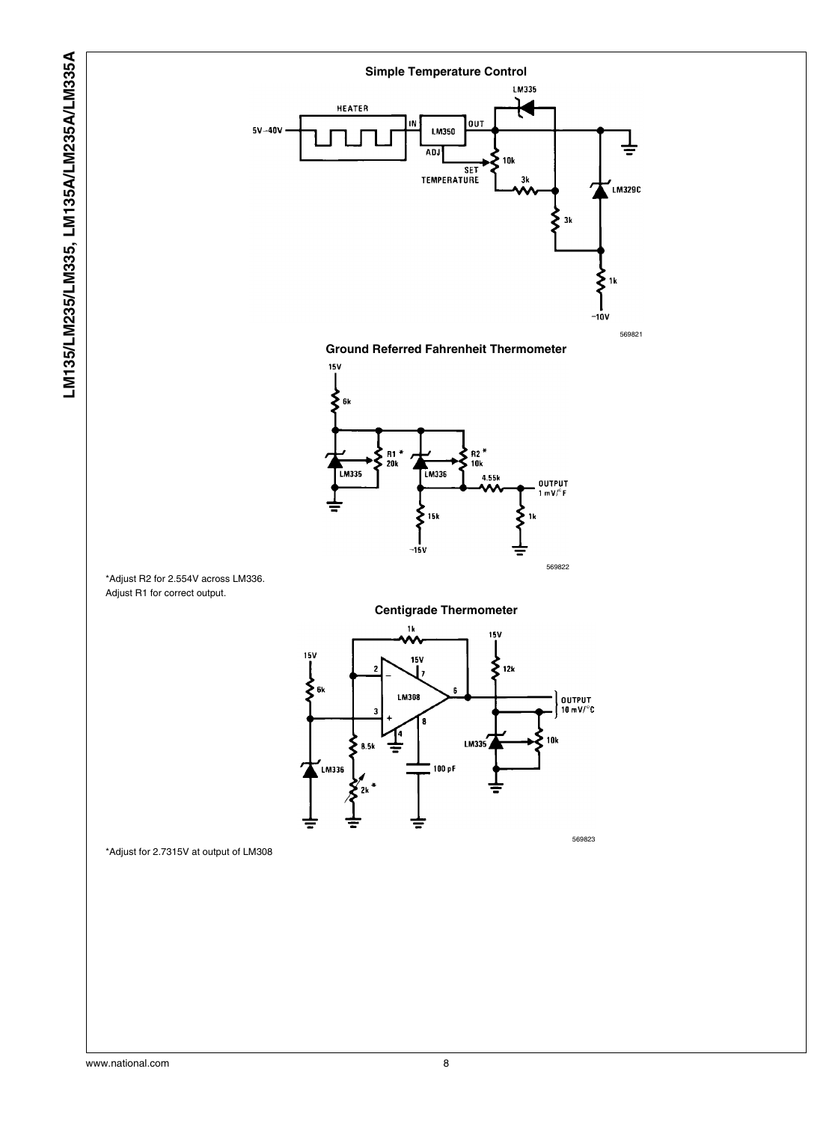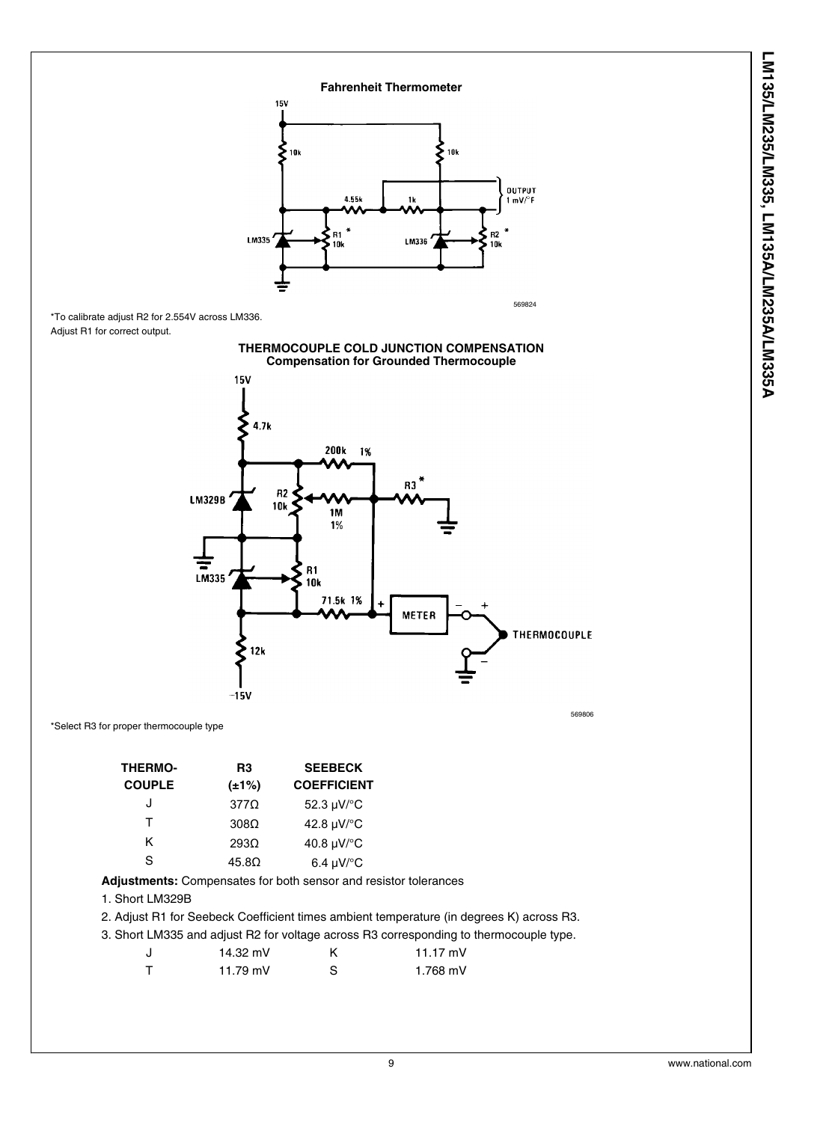

| <b>THERMO-</b> | R3               | <b>SEEBECK</b>             |
|----------------|------------------|----------------------------|
| <b>COUPLE</b>  | (±1%)            | <b>COEFFICIENT</b>         |
| J              | $377\Omega$      | 52.3 µV/°C                 |
| т              | $308\Omega$      | 42.8 µV/°C                 |
| ĸ              | 293 <sub>0</sub> | 40.8 µV/°C                 |
| S              | $45.8\Omega$     | $6.4 \mu V$ <sup>o</sup> C |

**Adjustments:** Compensates for both sensor and resistor tolerances

#### 1. Short LM329B

2. Adjust R1 for Seebeck Coefficient times ambient temperature (in degrees K) across R3.

3. Short LM335 and adjust R2 for voltage across R3 corresponding to thermocouple type.

|        | 14.32 mV   | 11.17 mV |
|--------|------------|----------|
| $\top$ | 11.79 $mV$ | 1.768 mV |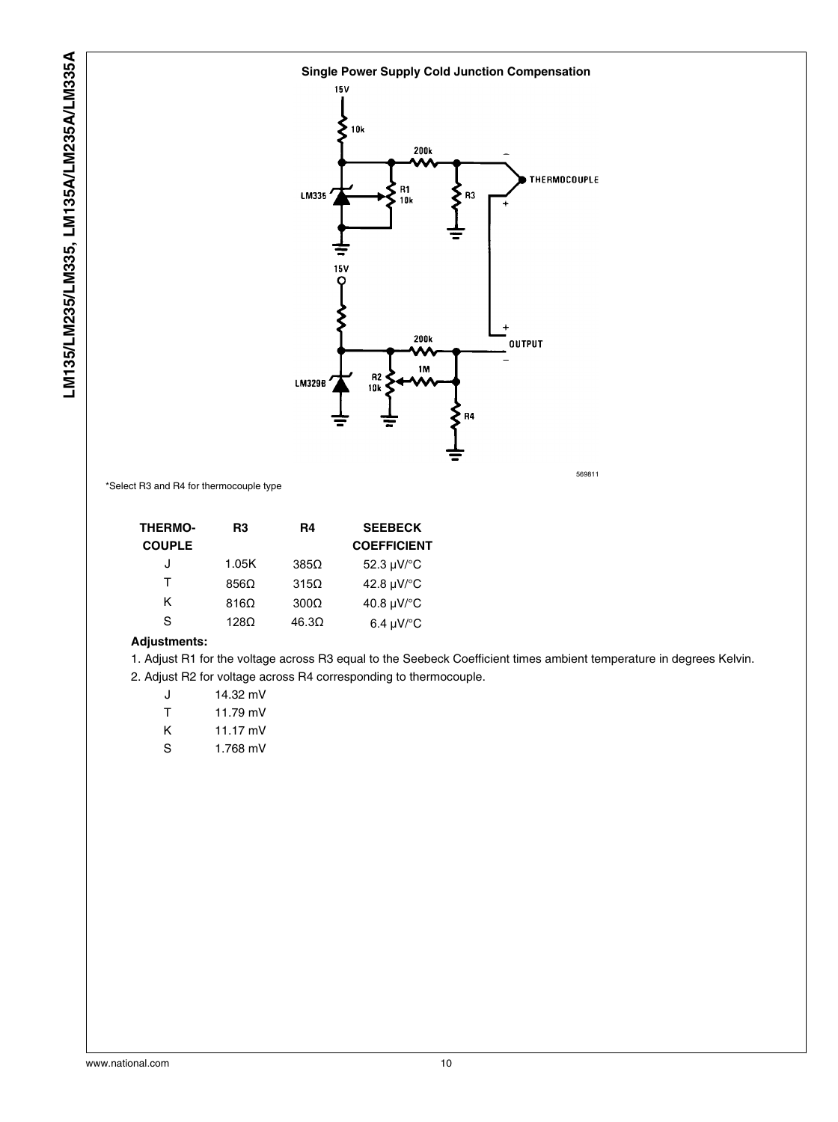

\*Select R3 and R4 for thermocouple type

| <b>THERMO-</b> | R3                                                                                           | R4           | <b>SEEBECK</b>     |
|----------------|----------------------------------------------------------------------------------------------|--------------|--------------------|
| <b>COUPLE</b>  |                                                                                              |              | <b>COEFFICIENT</b> |
| J              | 1.05K                                                                                        | $385\Omega$  | 52.3 µV/°C         |
| т              | 856Ω                                                                                         | $315\Omega$  | 42.8 µV/°C         |
| Κ              | $816\Omega$                                                                                  | $300\Omega$  | 40.8 µV/°C         |
| S              | 128 <omega< td=""><td><math>46.3\Omega</math></td><td>6.4 <math>\mu</math>V/°C</td></omega<> | $46.3\Omega$ | 6.4 $\mu$ V/°C     |
|                |                                                                                              |              |                    |

#### **Adjustments:**

1. Adjust R1 for the voltage across R3 equal to the Seebeck Coefficient times ambient temperature in degrees Kelvin. 2. Adjust R2 for voltage across R4 corresponding to thermocouple.

| J | 14.32 mV |
|---|----------|
| т | 11.79 mV |
| κ | 11.17 mV |
| S | 1.768 mV |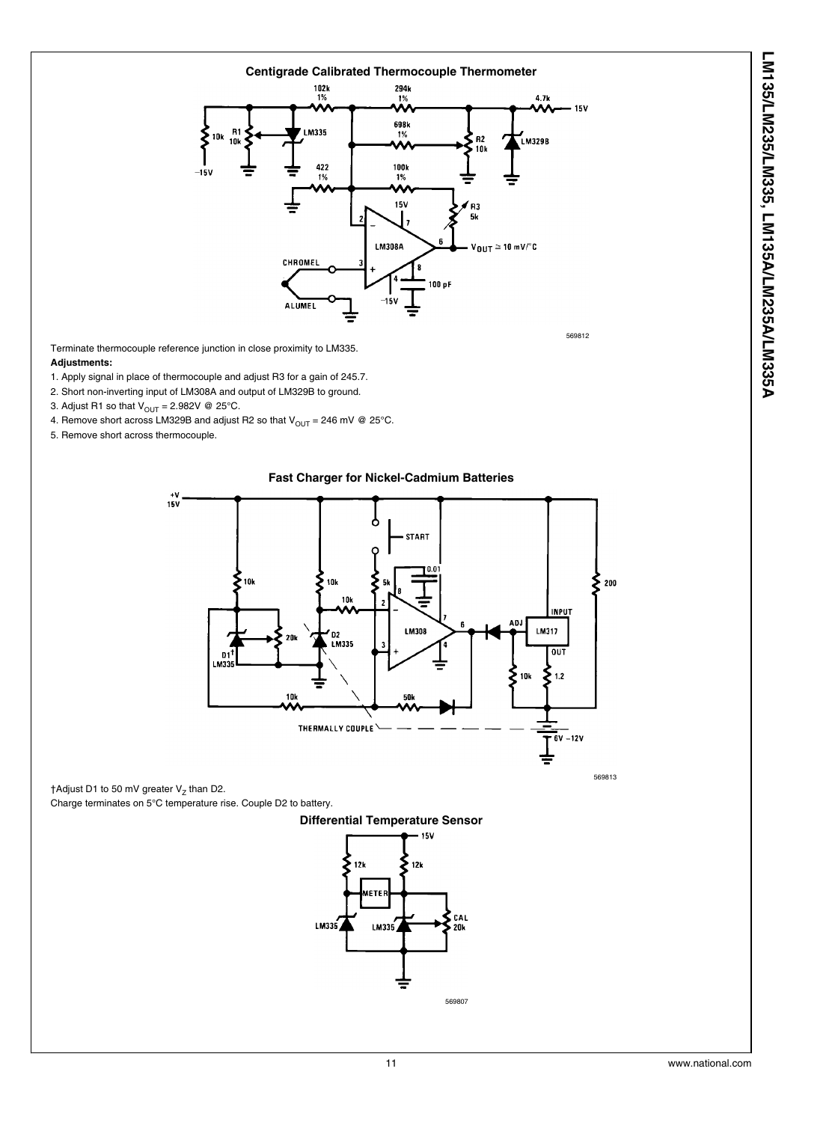

Terminate thermocouple reference junction in close proximity to LM335.

#### **Adjustments:**

- 1. Apply signal in place of thermocouple and adjust R3 for a gain of 245.7.
- 2. Short non-inverting input of LM308A and output of LM329B to ground.
- 3. Adjust R1 so that  $V_{\text{OUT}} = 2.982V$  @ 25°C.
- 4. Remove short across LM329B and adjust R2 so that  $V_{OUT} = 246$  mV @ 25°C.
- 5. Remove short across thermocouple.



**Fast Charger for Nickel-Cadmium Batteries**

†Adjust D1 to 50 mV greater V<sub>z</sub> than D2.

Charge terminates on 5°C temperature rise. Couple D2 to battery.



569813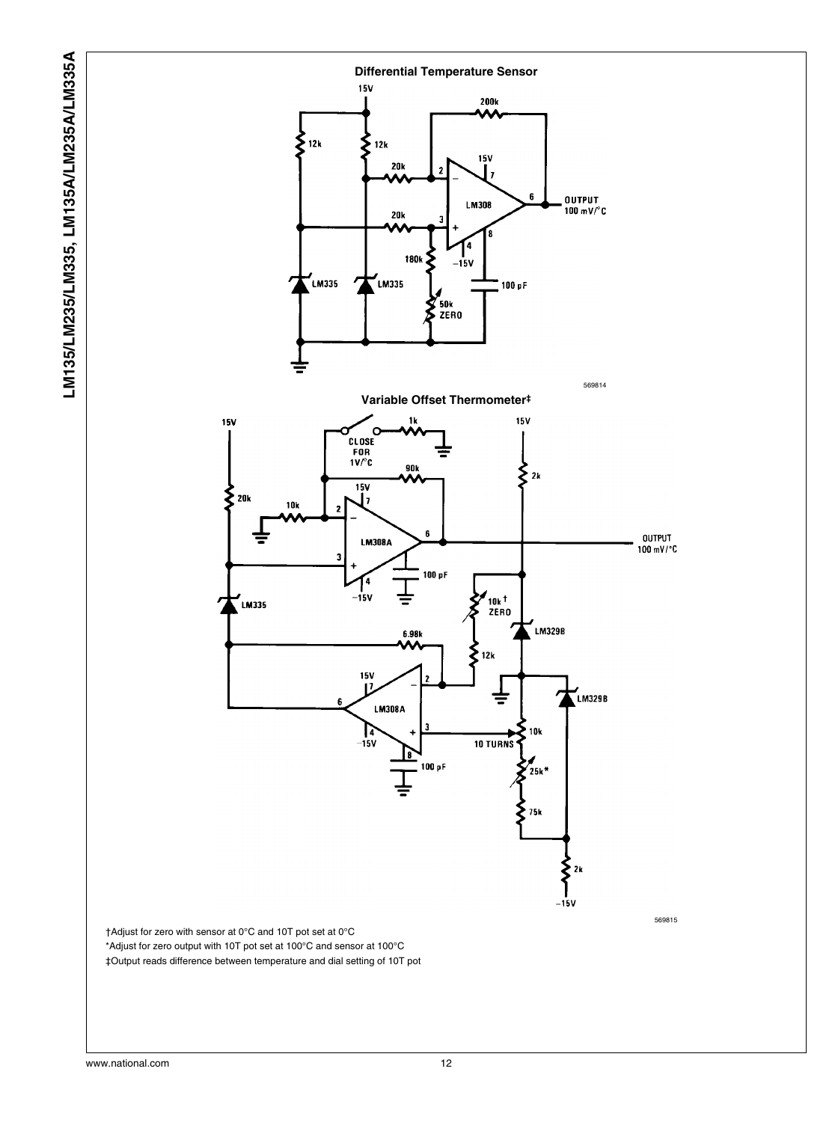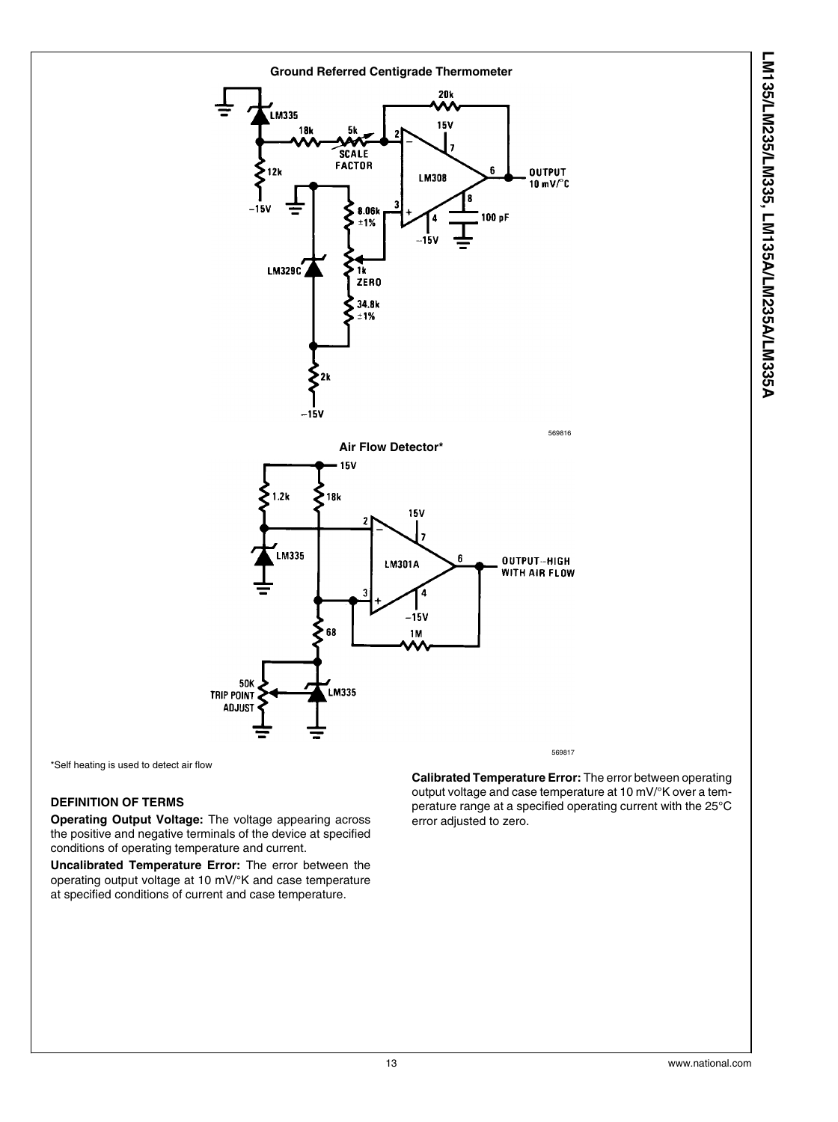

LM135/LM235/LM335, LM135A/LM235A/LM335A **LM135/LM235/LM335, LM135A/LM235A/LM335A**

\*Self heating is used to detect air flow

#### **DEFINITION OF TERMS**

**Operating Output Voltage:** The voltage appearing across the positive and negative terminals of the device at specified conditions of operating temperature and current.

**Uncalibrated Temperature Error:** The error between the operating output voltage at 10 mV/°K and case temperature at specified conditions of current and case temperature.

**Calibrated Temperature Error:** The error between operating output voltage and case temperature at 10 mV/°K over a temperature range at a specified operating current with the 25°C error adjusted to zero.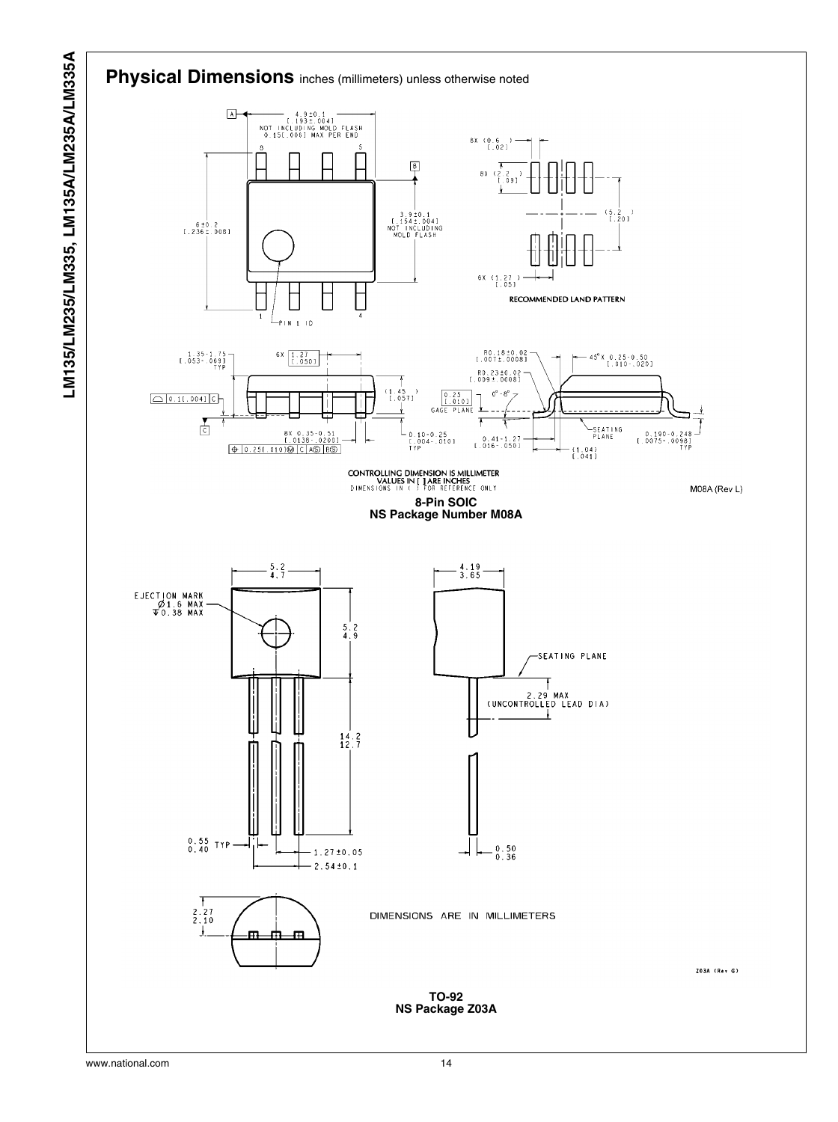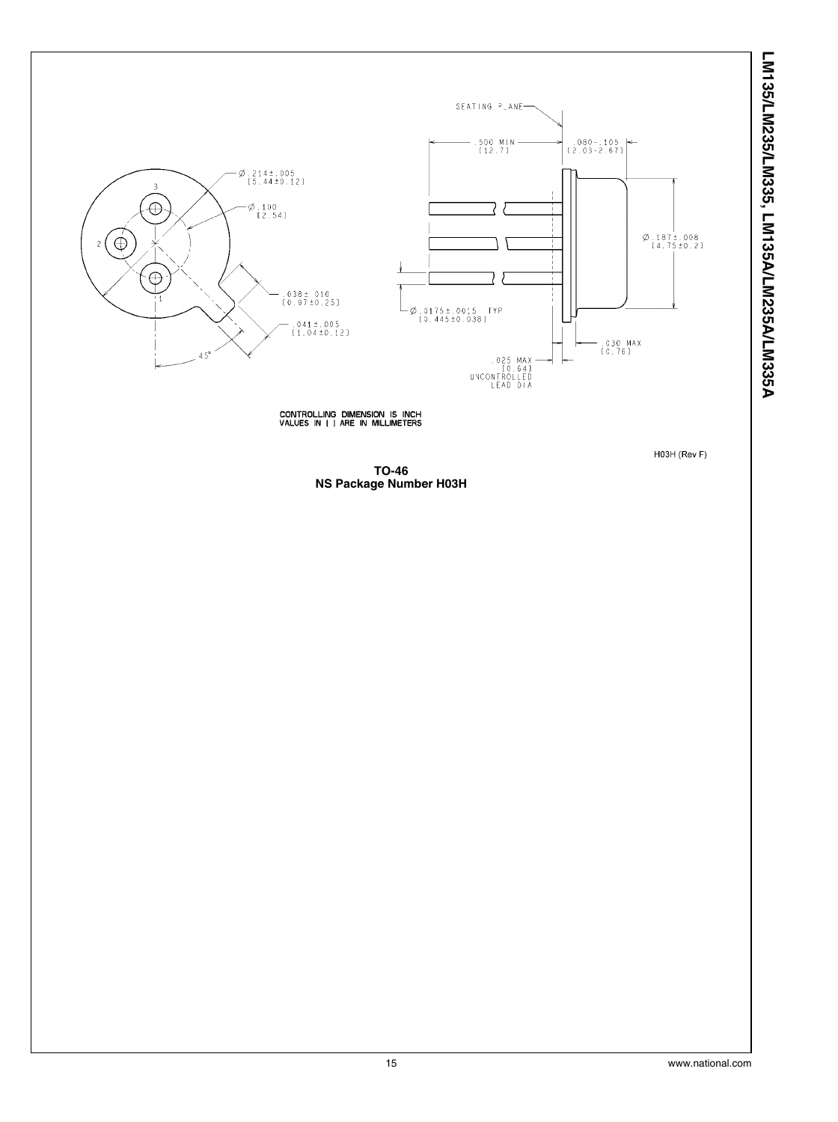



CONTROLLING DIMENSION IS INCH<br>VALUES IN [ ] ARE IN MILLIMETERS

H03H (Rev F)

**TO-46 NS Package Number H03H**